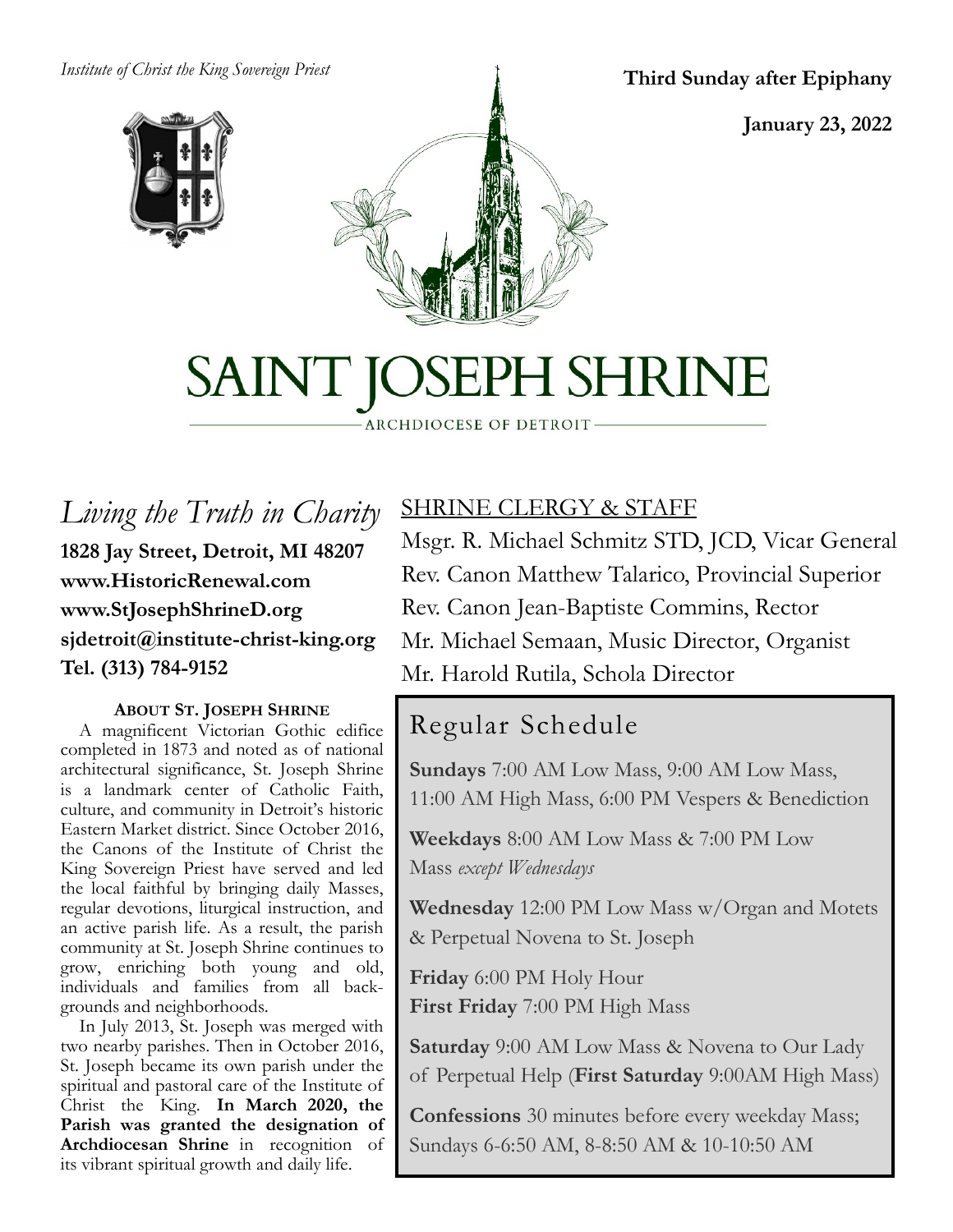*Institute of Christ the King Sovereign Priest*





**Third Sunday after Epiphany**

**January 23, 2022**

# SAINT JOSEPH SHRINE

ARCHDIOCESE OF DETROIT

*Living the Truth in Charity* **1828 Jay Street, Detroit, MI 48207 www.HistoricRenewal.com www.StJosephShrineD.org sjdetroit@institute-christ-king.org Tel. (313) 784-9152**

#### **ABOUT ST. JOSEPH SHRINE**

 A magnificent Victorian Gothic edifice completed in 1873 and noted as of national architectural significance, St. Joseph Shrine is a landmark center of Catholic Faith, culture, and community in Detroit's historic Eastern Market district. Since October 2016, the Canons of the Institute of Christ the King Sovereign Priest have served and led the local faithful by bringing daily Masses, regular devotions, liturgical instruction, and an active parish life. As a result, the parish community at St. Joseph Shrine continues to grow, enriching both young and old, individuals and families from all backgrounds and neighborhoods.

 In July 2013, St. Joseph was merged with two nearby parishes. Then in October 2016, St. Joseph became its own parish under the spiritual and pastoral care of the Institute of Christ the King. **In March 2020, the Parish was granted the designation of Archdiocesan Shrine** in recognition of its vibrant spiritual growth and daily life.

## SHRINE CLERGY & STAFF

Msgr. R. Michael Schmitz STD, JCD, Vicar General Rev. Canon Matthew Talarico, Provincial Superior Rev. Canon Jean-Baptiste Commins, Rector Mr. Michael Semaan, Music Director, Organist Mr. Harold Rutila, Schola Director

# Regular Schedule

**Sundays** 7:00 AM Low Mass, 9:00 AM Low Mass, 11:00 AM High Mass, 6:00 PM Vespers & Benediction

**Weekdays** 8:00 AM Low Mass & 7:00 PM Low Mass *except Wednesdays*

**Wednesday** 12:00 PM Low Mass w/Organ and Motets & Perpetual Novena to St. Joseph

**Friday** 6:00 PM Holy Hour **First Friday** 7:00 PM High Mass

**Saturday** 9:00 AM Low Mass & Novena to Our Lady of Perpetual Help (**First Saturday** 9:00AM High Mass)

**Confessions** 30 minutes before every weekday Mass; Sundays 6-6:50 AM, 8-8:50 AM & 10-10:50 AM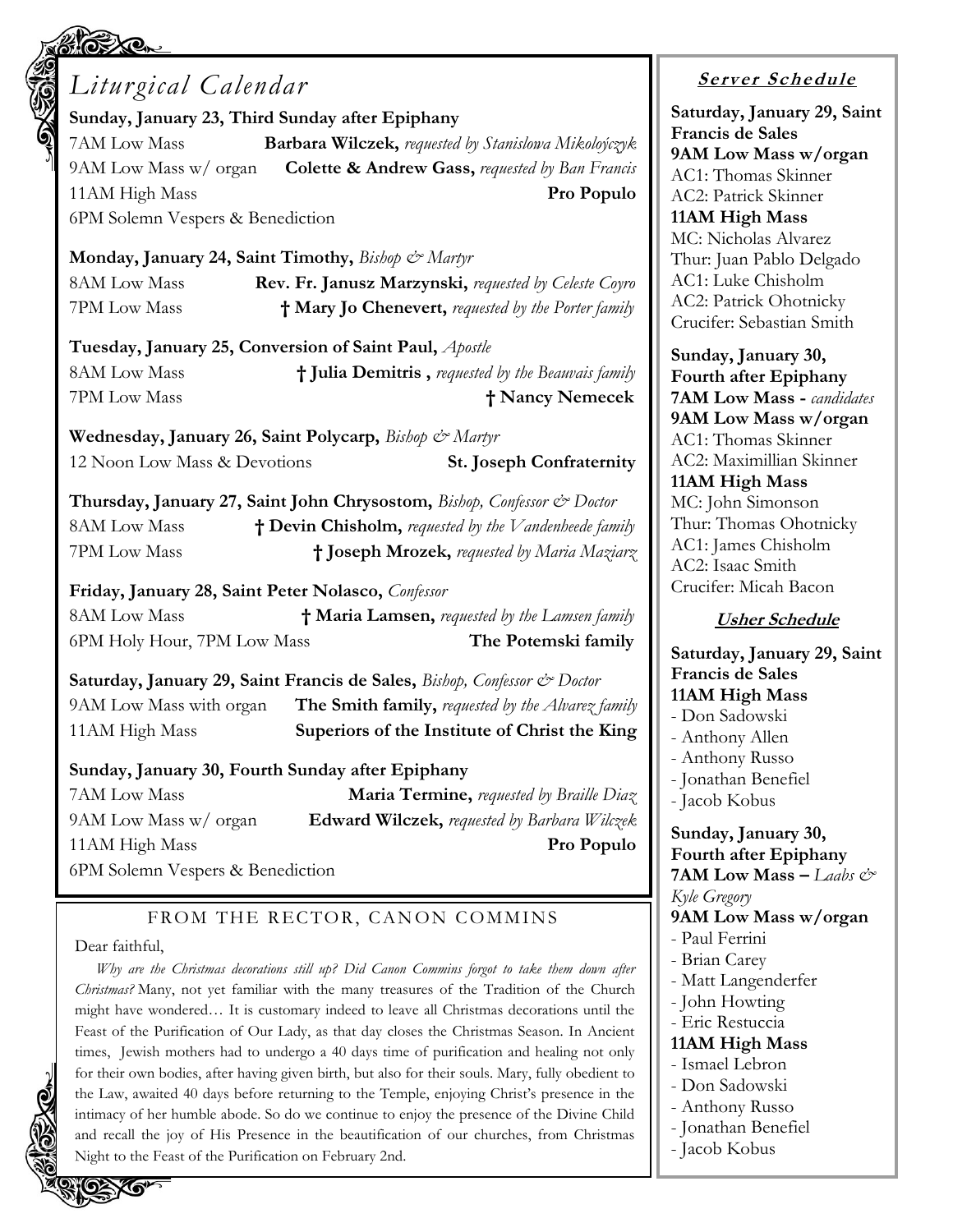| Liturgical Calendar                                                                                                                                                                                                                                                                                                                         |                                                                                                                                 |                                                                                                                                                                                                                                                                                                                                                                                                                     | <b>Server Schedule</b>                                                                                                                                                   |
|---------------------------------------------------------------------------------------------------------------------------------------------------------------------------------------------------------------------------------------------------------------------------------------------------------------------------------------------|---------------------------------------------------------------------------------------------------------------------------------|---------------------------------------------------------------------------------------------------------------------------------------------------------------------------------------------------------------------------------------------------------------------------------------------------------------------------------------------------------------------------------------------------------------------|--------------------------------------------------------------------------------------------------------------------------------------------------------------------------|
| <b>ACKER</b><br>Sunday, January 23, Third Sunday after Epiphany<br>7AM Low Mass<br>Barbara Wilczek, requested by Stanislowa Mikoloýczyk<br>Colette & Andrew Gass, requested by Ban Francis<br>9AM Low Mass w/ organ<br>11AM High Mass<br>Pro Populo                                                                                         |                                                                                                                                 |                                                                                                                                                                                                                                                                                                                                                                                                                     | Saturday, January 29, Saint<br><b>Francis</b> de Sales<br>9AM Low Mass w/organ<br>AC1: Thomas Skinner<br>AC2: Patrick Skinner                                            |
| 6PM Solemn Vespers & Benediction<br>Monday, January 24, Saint Timothy, Bishop & Martyr<br>8AM Low Mass<br>7PM Low Mass                                                                                                                                                                                                                      |                                                                                                                                 | Rev. Fr. Janusz Marzynski, requested by Celeste Coyro<br>† Mary Jo Chenevert, requested by the Porter family                                                                                                                                                                                                                                                                                                        | 11AM High Mass<br>MC: Nicholas Alvarez<br>Thur: Juan Pablo Delgado<br>AC1: Luke Chisholm<br>AC2: Patrick Ohotnicky<br>Crucifer: Sebastian Smith                          |
| 8AM Low Mass<br>7PM Low Mass                                                                                                                                                                                                                                                                                                                | Tuesday, January 25, Conversion of Saint Paul, Apostle<br>† Julia Demitris, requested by the Beauvais family<br>† Nancy Nemecek |                                                                                                                                                                                                                                                                                                                                                                                                                     | Sunday, January 30,<br>Fourth after Epiphany<br><b>7AM Low Mass - candidates</b><br>9AM Low Mass w/organ                                                                 |
| Wednesday, January 26, Saint Polycarp, Bishop & Martyr<br>12 Noon Low Mass & Devotions<br><b>St. Joseph Confraternity</b><br>Thursday, January 27, Saint John Chrysostom, Bishop, Confessor & Doctor                                                                                                                                        |                                                                                                                                 |                                                                                                                                                                                                                                                                                                                                                                                                                     | AC1: Thomas Skinner<br>AC2: Maximillian Skinner<br>11AM High Mass                                                                                                        |
| 8AM Low Mass<br>† Devin Chisholm, requested by the Vandenheede family<br>7PM Low Mass<br>† Joseph Mrozek, requested by Maria Maziarz                                                                                                                                                                                                        |                                                                                                                                 |                                                                                                                                                                                                                                                                                                                                                                                                                     | MC: John Simonson<br>Thur: Thomas Ohotnicky<br>AC1: James Chisholm<br>AC2: Isaac Smith                                                                                   |
| Friday, January 28, Saint Peter Nolasco, Confessor<br><b>8AM Low Mass</b><br>† Maria Lamsen, requested by the Lamsen family                                                                                                                                                                                                                 |                                                                                                                                 |                                                                                                                                                                                                                                                                                                                                                                                                                     | Crucifer: Micah Bacon                                                                                                                                                    |
| 6PM Holy Hour, 7PM Low Mass                                                                                                                                                                                                                                                                                                                 |                                                                                                                                 | The Potemski family                                                                                                                                                                                                                                                                                                                                                                                                 | <b>Usher Schedule</b>                                                                                                                                                    |
| Saturday, January 29, Saint Francis de Sales, Bishop, Confessor & Doctor<br>The Smith family, requested by the Alvarez family<br>9AM Low Mass with organ<br>11AM High Mass<br>Superiors of the Institute of Christ the King<br>Sunday, January 30, Fourth Sunday after Epiphany<br>7AM Low Mass<br>Maria Termine, requested by Braille Diaz |                                                                                                                                 |                                                                                                                                                                                                                                                                                                                                                                                                                     | Saturday, January 29, Saint<br><b>Francis de Sales</b><br>11AM High Mass<br>- Don Sadowski<br>- Anthony Allen<br>- Anthony Russo<br>- Jonathan Benefiel<br>- Jacob Kobus |
| 9AM Low Mass w/ organ<br>11AM High Mass<br>6PM Solemn Vespers & Benediction                                                                                                                                                                                                                                                                 |                                                                                                                                 | Edward Wilczek, requested by Barbara Wilczek<br>Pro Populo                                                                                                                                                                                                                                                                                                                                                          | Sunday, January 30,<br>Fourth after Epiphany<br><b>7AM Low Mass - Laabs <math>\mathcal{C}^*</math></b>                                                                   |
| Dear faithful,                                                                                                                                                                                                                                                                                                                              |                                                                                                                                 | FROM THE RECTOR, CANON COMMINS<br>Why are the Christmas decorations still up? Did Canon Commins forgot to take them down after<br>Christmas? Many, not yet familiar with the many treasures of the Tradition of the Church<br>might have wondered It is customary indeed to leave all Christmas decorations until the<br>Feast of the Purification of Our Lady, as that day closes the Christmas Season. In Ancient | Kyle Gregory<br>9AM Low Mass w/organ<br>- Paul Ferrini<br>- Brian Carey<br>- Matt Langenderfer<br>- John Howting<br>- Eric Restuccia                                     |

times, Jewish mothers had to undergo a 40 days time of purification and healing not only for their own bodies, after having given birth, but also for their souls. Mary, fully obedient to the Law, awaited 40 days before returning to the Temple, enjoying Christ's presence in the intimacy of her humble abode. So do we continue to enjoy the presence of the Divine Child and recall the joy of His Presence in the beautification of our churches, from Christmas

Night to the Feast of the Purification on February 2nd.

**ROV** 

**NOW** 

**ICE** 

າດ

- **11AM High Mass**
- Ismael Lebron
- Don Sadowski
- Anthony Russo
- Jonathan Benefiel
- Jacob Kobus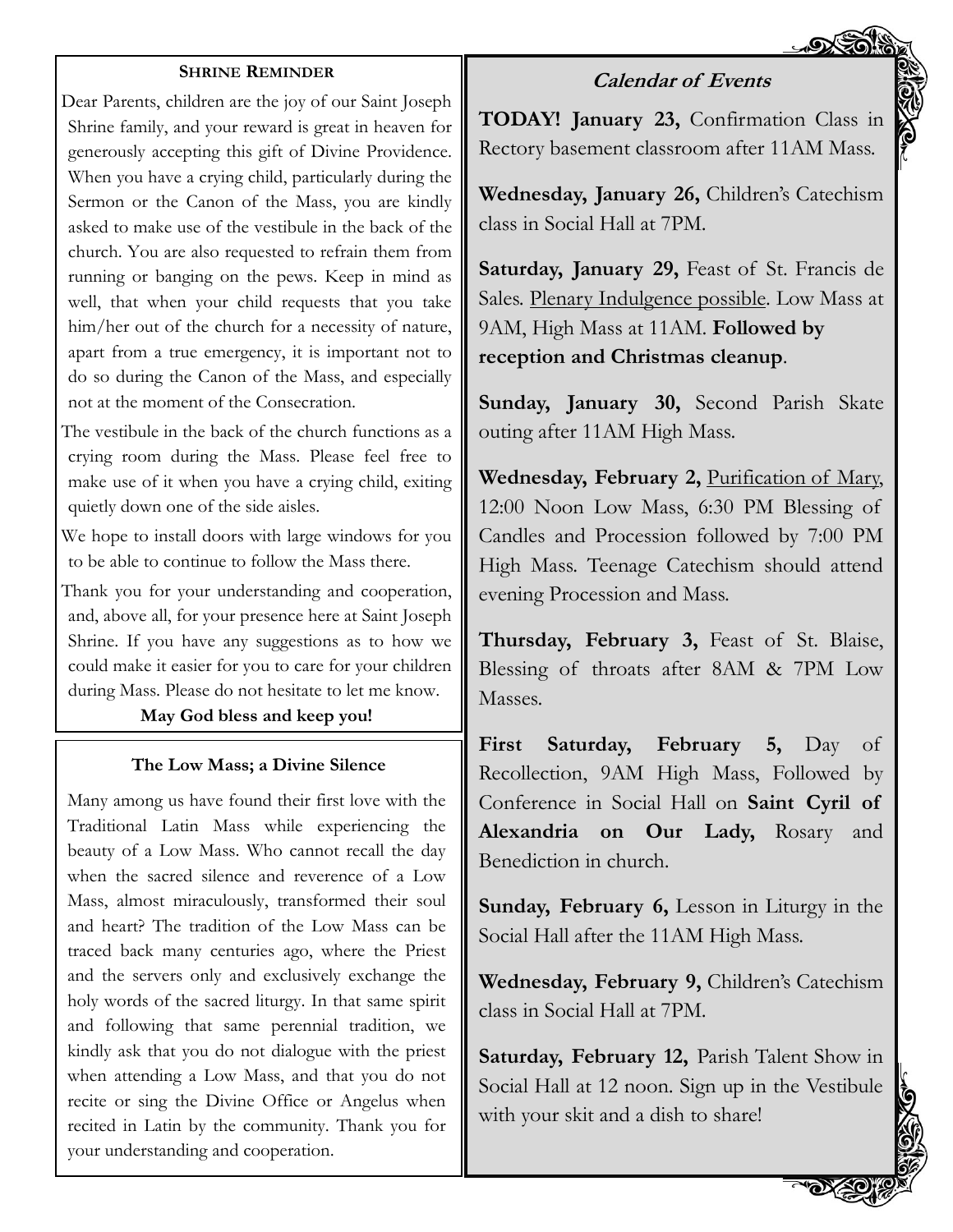#### **SHRINE REMINDER**

Dear Parents, children are the joy of our Saint Joseph Shrine family, and your reward is great in heaven for generously accepting this gift of Divine Providence. When you have a crying child, particularly during the Sermon or the Canon of the Mass, you are kindly asked to make use of the vestibule in the back of the church. You are also requested to refrain them from running or banging on the pews. Keep in mind as well, that when your child requests that you take him/her out of the church for a necessity of nature, apart from a true emergency, it is important not to do so during the Canon of the Mass, and especially not at the moment of the Consecration.

The vestibule in the back of the church functions as a crying room during the Mass. Please feel free to make use of it when you have a crying child, exiting quietly down one of the side aisles.

We hope to install doors with large windows for you to be able to continue to follow the Mass there.

Thank you for your understanding and cooperation, and, above all, for your presence here at Saint Joseph Shrine. If you have any suggestions as to how we could make it easier for you to care for your children during Mass. Please do not hesitate to let me know.

**May God bless and keep you!**

#### **The Low Mass; a Divine Silence**

Many among us have found their first love with the Traditional Latin Mass while experiencing the beauty of a Low Mass. Who cannot recall the day when the sacred silence and reverence of a Low Mass, almost miraculously, transformed their soul and heart? The tradition of the Low Mass can be traced back many centuries ago, where the Priest and the servers only and exclusively exchange the holy words of the sacred liturgy. In that same spirit and following that same perennial tradition, we kindly ask that you do not dialogue with the priest when attending a Low Mass, and that you do not recite or sing the Divine Office or Angelus when recited in Latin by the community. Thank you for your understanding and cooperation.

**Calendar of Events**

**TODAY! January 23,** Confirmation Class in Rectory basement classroom after 11AM Mass.

**Wednesday, January 26,** Children's Catechism class in Social Hall at 7PM.

**Saturday, January 29,** Feast of St. Francis de Sales. Plenary Indulgence possible. Low Mass at 9AM, High Mass at 11AM. **Followed by reception and Christmas cleanup**.

**Sunday, January 30,** Second Parish Skate outing after 11AM High Mass.

**Wednesday, February 2,** Purification of Mary, 12:00 Noon Low Mass, 6:30 PM Blessing of Candles and Procession followed by 7:00 PM High Mass. Teenage Catechism should attend evening Procession and Mass.

**Thursday, February 3,** Feast of St. Blaise, Blessing of throats after 8AM & 7PM Low Masses.

**First Saturday, February 5,** Day of Recollection, 9AM High Mass, Followed by Conference in Social Hall on **Saint Cyril of Alexandria on Our Lady,** Rosary and Benediction in church.

**Sunday, February 6,** Lesson in Liturgy in the Social Hall after the 11AM High Mass.

**Wednesday, February 9,** Children's Catechism class in Social Hall at 7PM.

**Saturday, February 12,** Parish Talent Show in Social Hall at 12 noon. Sign up in the Vestibule with your skit and a dish to share!